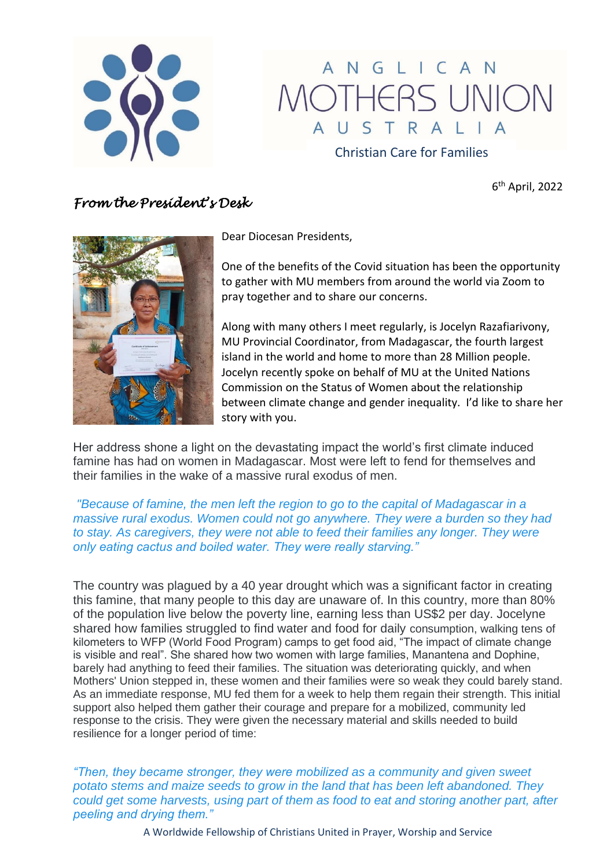

# ANGLICAN MOTHERS UNION AUSTRALIA

Christian Care for Families

6 th April, 2022

# *From the President's Desk*



Dear Diocesan Presidents,

One of the benefits of the Covid situation has been the opportunity to gather with MU members from around the world via Zoom to pray together and to share our concerns.

Along with many others I meet regularly, is Jocelyn Razafiarivony, MU Provincial Coordinator, from Madagascar, the fourth largest island in the world and home to more than 28 Million people. Jocelyn recently spoke on behalf of MU at the United Nations Commission on the Status of Women about the relationship between climate change and gender inequality. I'd like to share her story with you.

Her address shone a light on the devastating impact the world's first climate induced famine has had on women in Madagascar. Most were left to fend for themselves and their families in the wake of a massive rural exodus of men.

*"Because of famine, the men left the region to go to the capital of Madagascar in a massive rural exodus. Women could not go anywhere. They were a burden so they had to stay. As caregivers, they were not able to feed their families any longer. They were only eating cactus and boiled water. They were really starving."*

The country was plagued by a 40 year drought which was a significant factor in creating this famine, that many people to this day are unaware of. In this country, more than 80% of the population live below the poverty line, earning less than US\$2 per day. Jocelyne shared how families struggled to find water and food for daily consumption, walking tens of kilometers to WFP (World Food Program) camps to get food aid, "The impact of climate change is visible and real". She shared how two women with large families, Manantena and Dophine, barely had anything to feed their families. The situation was deteriorating quickly, and when Mothers' Union stepped in, these women and their families were so weak they could barely stand. As an immediate response, MU fed them for a week to help them regain their strength. This initial support also helped them gather their courage and prepare for a mobilized, community led response to the crisis. They were given the necessary material and skills needed to build resilience for a longer period of time:

*"Then, they became stronger, they were mobilized as a community and given sweet potato stems and maize seeds to grow in the land that has been left abandoned. They could get some harvests, using part of them as food to eat and storing another part, after peeling and drying them."*

A Worldwide Fellowship of Christians United in Prayer, Worship and Service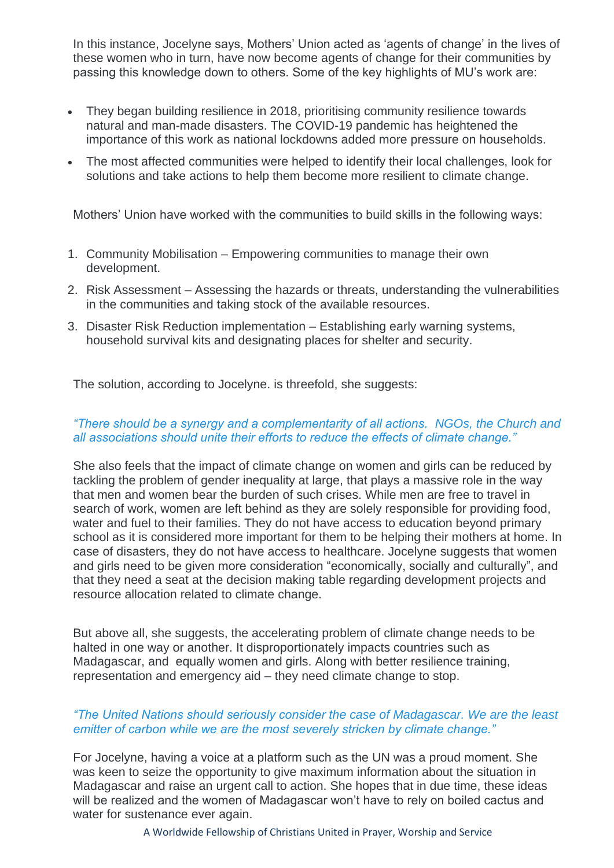In this instance, Jocelyne says, Mothers' Union acted as 'agents of change' in the lives of these women who in turn, have now become agents of change for their communities by passing this knowledge down to others. Some of the key highlights of MU's work are:

- They began building resilience in 2018, prioritising community resilience towards natural and man-made disasters. The COVID-19 pandemic has heightened the importance of this work as national lockdowns added more pressure on households.
- The most affected communities were helped to identify their local challenges, look for solutions and take actions to help them become more resilient to climate change.

Mothers' Union have worked with the communities to build skills in the following ways:

- 1. Community Mobilisation Empowering communities to manage their own development.
- 2. Risk Assessment Assessing the hazards or threats, understanding the vulnerabilities in the communities and taking stock of the available resources.
- 3. Disaster Risk Reduction implementation Establishing early warning systems, household survival kits and designating places for shelter and security.

The solution, according to Jocelyne. is threefold, she suggests:

## *"There should be a synergy and a complementarity of all actions. NGOs, the Church and all associations should unite their efforts to reduce the effects of climate change."*

She also feels that the impact of climate change on women and girls can be reduced by tackling the problem of gender inequality at large, that plays a massive role in the way that men and women bear the burden of such crises. While men are free to travel in search of work, women are left behind as they are solely responsible for providing food, water and fuel to their families. They do not have access to education beyond primary school as it is considered more important for them to be helping their mothers at home. In case of disasters, they do not have access to healthcare. Jocelyne suggests that women and girls need to be given more consideration "economically, socially and culturally", and that they need a seat at the decision making table regarding development projects and resource allocation related to climate change.

But above all, she suggests, the accelerating problem of climate change needs to be halted in one way or another. It disproportionately impacts countries such as Madagascar, and equally women and girls. Along with better resilience training, representation and emergency aid – they need climate change to stop.

## *"The United Nations should seriously consider the case of Madagascar. We are the least emitter of carbon while we are the most severely stricken by climate change."*

For Jocelyne, having a voice at a platform such as the UN was a proud moment. She was keen to seize the opportunity to give maximum information about the situation in Madagascar and raise an urgent call to action. She hopes that in due time, these ideas will be realized and the women of Madagascar won't have to rely on boiled cactus and water for sustenance ever again.